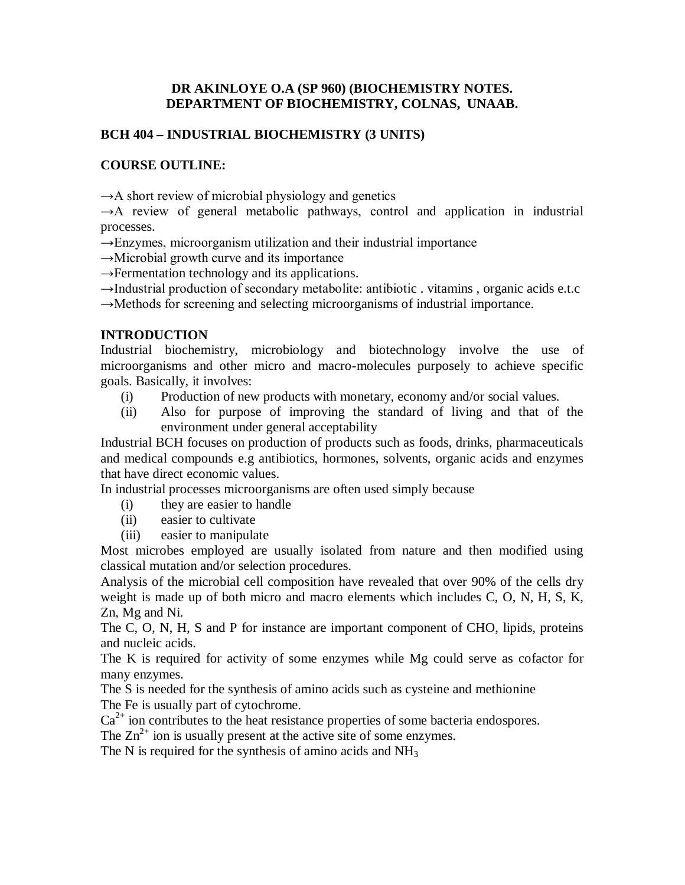# **DR AKINLOYE O.A (SP 960) (BIOCHEMISTRY NOTES. DEPARTMENT OF BIOCHEMISTRY, COLNAS, UNAAB.**

# **BCH 404 – INDUSTRIAL BIOCHEMISTRY (3 UNITS)**

# **COURSE OUTLINE:**

 $\rightarrow$ A short review of microbial physiology and genetics

 $\rightarrow$ A review of general metabolic pathways, control and application in industrial processes.

 $\rightarrow$ Enzymes, microorganism utilization and their industrial importance

 $\rightarrow$ Microbial growth curve and its importance

 $\rightarrow$ Fermentation technology and its applications.

 $\rightarrow$ Industrial production of secondary metabolite: antibiotic . vitamins, organic acids e.t.c

→Methods for screening and selecting microorganisms of industrial importance.

## **INTRODUCTION**

Industrial biochemistry, microbiology and biotechnology involve the use of microorganisms and other micro and macro-molecules purposely to achieve specific goals. Basically, it involves:

- (i) Production of new products with monetary, economy and/or social values.
- (ii) Also for purpose of improving the standard of living and that of the environment under general acceptability

Industrial BCH focuses on production of products such as foods, drinks, pharmaceuticals and medical compounds e.g antibiotics, hormones, solvents, organic acids and enzymes that have direct economic values.

In industrial processes microorganisms are often used simply because

- (i) they are easier to handle
- (ii) easier to cultivate
- (iii) easier to manipulate

Most microbes employed are usually isolated from nature and then modified using classical mutation and/or selection procedures.

Analysis of the microbial cell composition have revealed that over 90% of the cells dry weight is made up of both micro and macro elements which includes C, O, N, H, S, K, Zn, Mg and Ni.

The C, O, N, H, S and P for instance are important component of CHO, lipids, proteins and nucleic acids.

The K is required for activity of some enzymes while Mg could serve as cofactor for many enzymes.

The S is needed for the synthesis of amino acids such as cysteine and methionine The Fe is usually part of cytochrome.

 $Ca<sup>2+</sup>$  ion contributes to the heat resistance properties of some bacteria endospores.

The  $\text{Zn}^{2+}$  ion is usually present at the active site of some enzymes.

The N is required for the synthesis of amino acids and  $NH<sub>3</sub>$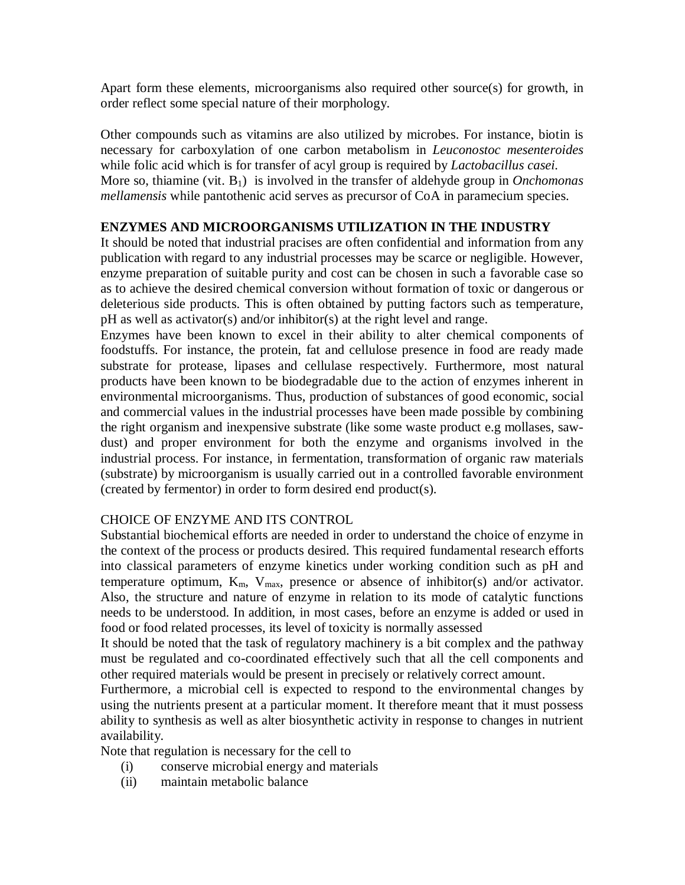Apart form these elements, microorganisms also required other source(s) for growth, in order reflect some special nature of their morphology.

Other compounds such as vitamins are also utilized by microbes. For instance, biotin is necessary for carboxylation of one carbon metabolism in *Leuconostoc mesenteroides* while folic acid which is for transfer of acyl group is required by *Lactobacillus casei.* More so, thiamine (vit. B1) is involved in the transfer of aldehyde group in *Onchomonas mellamensis* while pantothenic acid serves as precursor of CoA in paramecium species.

# **ENZYMES AND MICROORGANISMS UTILIZATION IN THE INDUSTRY**

It should be noted that industrial pracises are often confidential and information from any publication with regard to any industrial processes may be scarce or negligible. However, enzyme preparation of suitable purity and cost can be chosen in such a favorable case so as to achieve the desired chemical conversion without formation of toxic or dangerous or deleterious side products. This is often obtained by putting factors such as temperature, pH as well as activator(s) and/or inhibitor(s) at the right level and range.

Enzymes have been known to excel in their ability to alter chemical components of foodstuffs. For instance, the protein, fat and cellulose presence in food are ready made substrate for protease, lipases and cellulase respectively. Furthermore, most natural products have been known to be biodegradable due to the action of enzymes inherent in environmental microorganisms. Thus, production of substances of good economic, social and commercial values in the industrial processes have been made possible by combining the right organism and inexpensive substrate (like some waste product e.g mollases, sawdust) and proper environment for both the enzyme and organisms involved in the industrial process. For instance, in fermentation, transformation of organic raw materials (substrate) by microorganism is usually carried out in a controlled favorable environment (created by fermentor) in order to form desired end product(s).

# CHOICE OF ENZYME AND ITS CONTROL

Substantial biochemical efforts are needed in order to understand the choice of enzyme in the context of the process or products desired. This required fundamental research efforts into classical parameters of enzyme kinetics under working condition such as pH and temperature optimum,  $K_m$ ,  $V_{max}$ , presence or absence of inhibitor(s) and/or activator. Also, the structure and nature of enzyme in relation to its mode of catalytic functions needs to be understood. In addition, in most cases, before an enzyme is added or used in food or food related processes, its level of toxicity is normally assessed

It should be noted that the task of regulatory machinery is a bit complex and the pathway must be regulated and co-coordinated effectively such that all the cell components and other required materials would be present in precisely or relatively correct amount.

Furthermore, a microbial cell is expected to respond to the environmental changes by using the nutrients present at a particular moment. It therefore meant that it must possess ability to synthesis as well as alter biosynthetic activity in response to changes in nutrient availability.

Note that regulation is necessary for the cell to

- (i) conserve microbial energy and materials
- (ii) maintain metabolic balance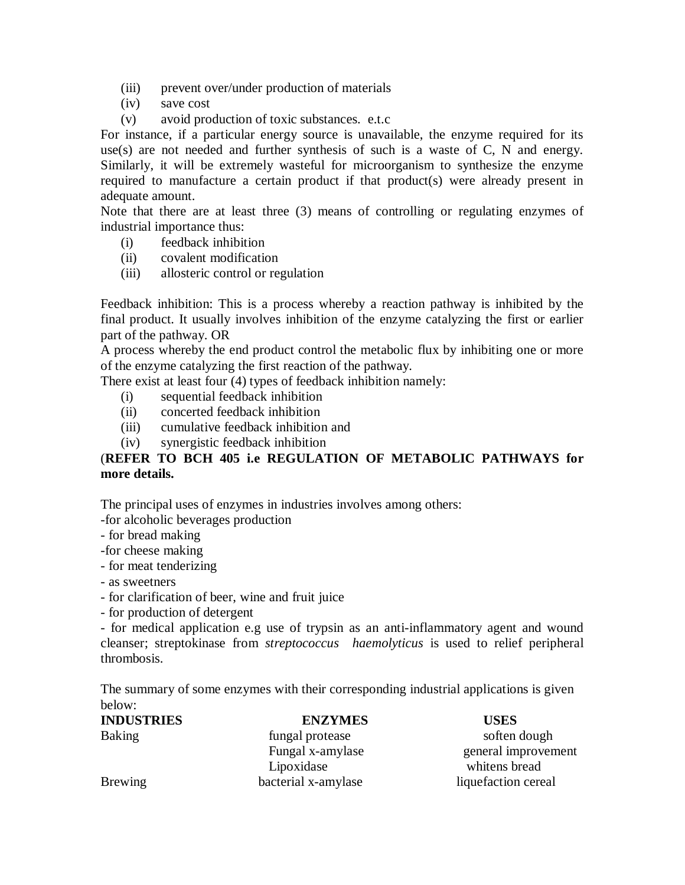- (iii) prevent over/under production of materials
- (iv) save cost
- (v) avoid production of toxic substances. e.t.c

For instance, if a particular energy source is unavailable, the enzyme required for its use(s) are not needed and further synthesis of such is a waste of C, N and energy. Similarly, it will be extremely wasteful for microorganism to synthesize the enzyme required to manufacture a certain product if that product(s) were already present in adequate amount.

Note that there are at least three (3) means of controlling or regulating enzymes of industrial importance thus:

- (i) feedback inhibition
- (ii) covalent modification
- (iii) allosteric control or regulation

Feedback inhibition: This is a process whereby a reaction pathway is inhibited by the final product. It usually involves inhibition of the enzyme catalyzing the first or earlier part of the pathway. OR

A process whereby the end product control the metabolic flux by inhibiting one or more of the enzyme catalyzing the first reaction of the pathway.

There exist at least four (4) types of feedback inhibition namely:

- (i) sequential feedback inhibition
- (ii) concerted feedback inhibition
- (iii) cumulative feedback inhibition and
- (iv) synergistic feedback inhibition

# (**REFER TO BCH 405 i.e REGULATION OF METABOLIC PATHWAYS for more details.**

The principal uses of enzymes in industries involves among others:

- -for alcoholic beverages production
- for bread making
- -for cheese making
- for meat tenderizing
- as sweetners
- for clarification of beer, wine and fruit juice
- for production of detergent

- for medical application e.g use of trypsin as an anti-inflammatory agent and wound cleanser; streptokinase from *streptococcus haemolyticus* is used to relief peripheral thrombosis.

The summary of some enzymes with their corresponding industrial applications is given below:

| <b>INDUSTRIES</b> | <b>ENZYMES</b>      | <b>USES</b>         |
|-------------------|---------------------|---------------------|
| <b>Baking</b>     | fungal protease     | soften dough        |
|                   | Fungal x-amylase    | general improvement |
|                   | Lipoxidase          | whitens bread       |
| Brewing           | bacterial x-amylase | liquefaction cereal |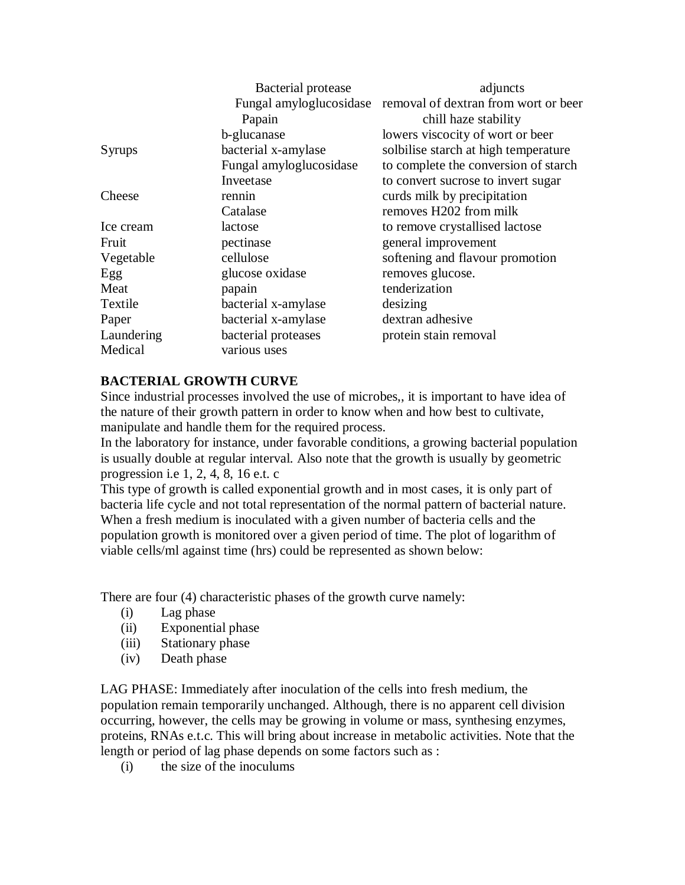|               | Bacterial protease      | adjuncts                             |
|---------------|-------------------------|--------------------------------------|
|               | Fungal amyloglucosidase | removal of dextran from wort or beer |
|               | Papain                  | chill haze stability                 |
|               | b-glucanase             | lowers viscocity of wort or beer     |
| <b>Syrups</b> | bacterial x-amylase     | solbilise starch at high temperature |
|               | Fungal amyloglucosidase | to complete the conversion of starch |
|               | Inveetase               | to convert sucrose to invert sugar   |
| Cheese        | rennin                  | curds milk by precipitation          |
|               | Catalase                | removes H202 from milk               |
| Ice cream     | lactose                 | to remove crystallised lactose       |
| Fruit         | pectinase               | general improvement                  |
| Vegetable     | cellulose               | softening and flavour promotion      |
| Egg           | glucose oxidase         | removes glucose.                     |
| Meat          | papain                  | tenderization                        |
| Textile       | bacterial x-amylase     | desizing                             |
| Paper         | bacterial x-amylase     | dextran adhesive                     |
| Laundering    | bacterial proteases     | protein stain removal                |
| Medical       | various uses            |                                      |
|               |                         |                                      |

# **BACTERIAL GROWTH CURVE**

Since industrial processes involved the use of microbes,, it is important to have idea of the nature of their growth pattern in order to know when and how best to cultivate, manipulate and handle them for the required process.

In the laboratory for instance, under favorable conditions, a growing bacterial population is usually double at regular interval. Also note that the growth is usually by geometric progression i.e 1, 2, 4, 8, 16 e.t. c

This type of growth is called exponential growth and in most cases, it is only part of bacteria life cycle and not total representation of the normal pattern of bacterial nature. When a fresh medium is inoculated with a given number of bacteria cells and the population growth is monitored over a given period of time. The plot of logarithm of viable cells/ml against time (hrs) could be represented as shown below:

There are four (4) characteristic phases of the growth curve namely:

- (i) Lag phase
- (ii) Exponential phase
- (iii) Stationary phase
- (iv) Death phase

LAG PHASE: Immediately after inoculation of the cells into fresh medium, the population remain temporarily unchanged. Although, there is no apparent cell division occurring, however, the cells may be growing in volume or mass, synthesing enzymes, proteins, RNAs e.t.c. This will bring about increase in metabolic activities. Note that the length or period of lag phase depends on some factors such as :

(i) the size of the inoculums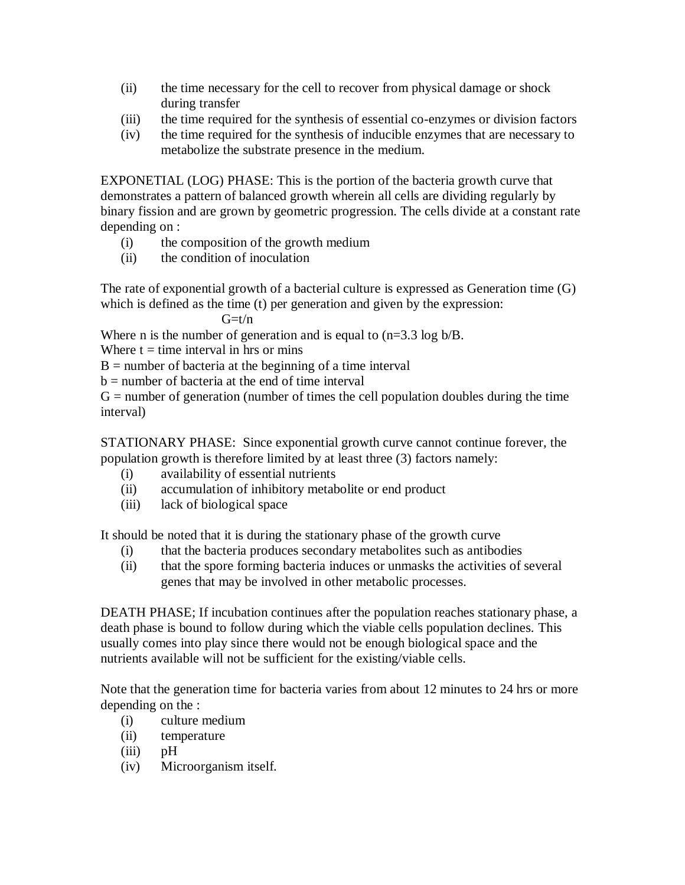- (ii) the time necessary for the cell to recover from physical damage or shock during transfer
- (iii) the time required for the synthesis of essential co-enzymes or division factors
- (iv) the time required for the synthesis of inducible enzymes that are necessary to metabolize the substrate presence in the medium.

EXPONETIAL (LOG) PHASE: This is the portion of the bacteria growth curve that demonstrates a pattern of balanced growth wherein all cells are dividing regularly by binary fission and are grown by geometric progression. The cells divide at a constant rate depending on :

- (i) the composition of the growth medium
- (ii) the condition of inoculation

The rate of exponential growth of a bacterial culture is expressed as Generation time (G) which is defined as the time (t) per generation and given by the expression:

 $G= t/n$ 

Where n is the number of generation and is equal to  $(n=3.3 \log b/B)$ .

Where  $t = time$  interval in hrs or mins

 $B =$  number of bacteria at the beginning of a time interval

 $b =$  number of bacteria at the end of time interval

 $G =$  number of generation (number of times the cell population doubles during the time interval)

STATIONARY PHASE: Since exponential growth curve cannot continue forever, the population growth is therefore limited by at least three (3) factors namely:

- (i) availability of essential nutrients
- (ii) accumulation of inhibitory metabolite or end product
- (iii) lack of biological space

It should be noted that it is during the stationary phase of the growth curve

- (i) that the bacteria produces secondary metabolites such as antibodies
- (ii) that the spore forming bacteria induces or unmasks the activities of several genes that may be involved in other metabolic processes.

DEATH PHASE; If incubation continues after the population reaches stationary phase, a death phase is bound to follow during which the viable cells population declines. This usually comes into play since there would not be enough biological space and the nutrients available will not be sufficient for the existing/viable cells.

Note that the generation time for bacteria varies from about 12 minutes to 24 hrs or more depending on the :

- (i) culture medium
- (ii) temperature
- (iii) pH
- (iv) Microorganism itself.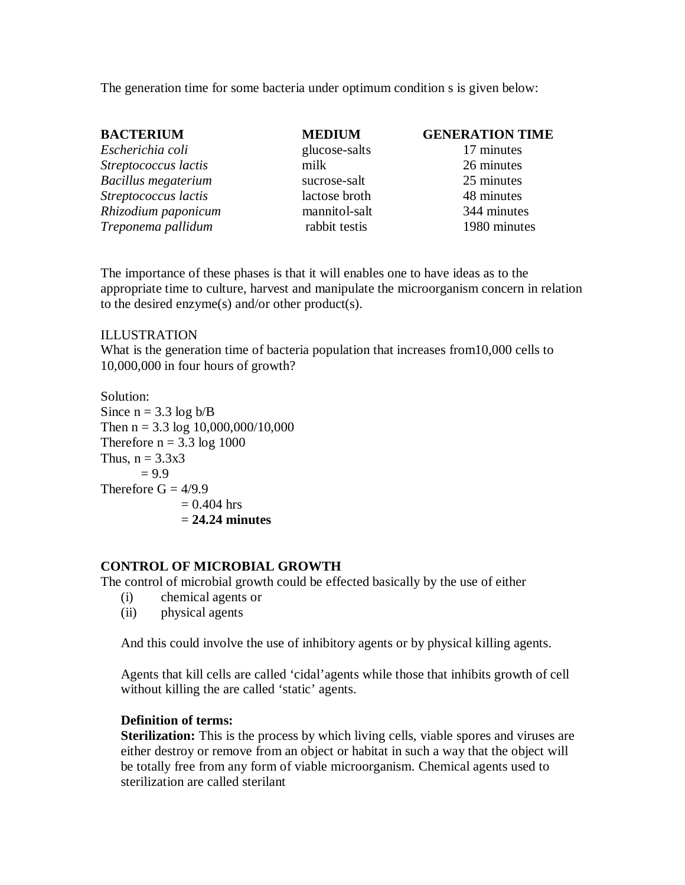The generation time for some bacteria under optimum condition s is given below:

| <b>BACTERIUM</b>     | <b>MEDIUM</b> | <b>GENERATION TIME</b> |
|----------------------|---------------|------------------------|
| Escherichia coli     | glucose-salts | 17 minutes             |
| Streptococcus lactis | milk          | 26 minutes             |
| Bacillus megaterium  | sucrose-salt  | 25 minutes             |
| Streptococcus lactis | lactose broth | 48 minutes             |
| Rhizodium paponicum  | mannitol-salt | 344 minutes            |
| Treponema pallidum   | rabbit testis | 1980 minutes           |

The importance of these phases is that it will enables one to have ideas as to the appropriate time to culture, harvest and manipulate the microorganism concern in relation to the desired enzyme(s) and/or other product(s).

#### ILLUSTRATION

What is the generation time of bacteria population that increases from10,000 cells to 10,000,000 in four hours of growth?

Solution: Since  $n = 3.3 \log b/B$ Then  $n = 3.3 \log 10,000,000/10,000$ Therefore  $n = 3.3 \log 1000$ Thus,  $n = 3.3x3$  $= 9.9$ Therefore  $G = 4/9.9$  $= 0.404$  hrs = **24.24 minutes**

## **CONTROL OF MICROBIAL GROWTH**

The control of microbial growth could be effected basically by the use of either

- (i) chemical agents or
- (ii) physical agents

And this could involve the use of inhibitory agents or by physical killing agents.

Agents that kill cells are called 'cidal'agents while those that inhibits growth of cell without killing the are called 'static' agents.

#### **Definition of terms:**

**Sterilization:** This is the process by which living cells, viable spores and viruses are either destroy or remove from an object or habitat in such a way that the object will be totally free from any form of viable microorganism. Chemical agents used to sterilization are called sterilant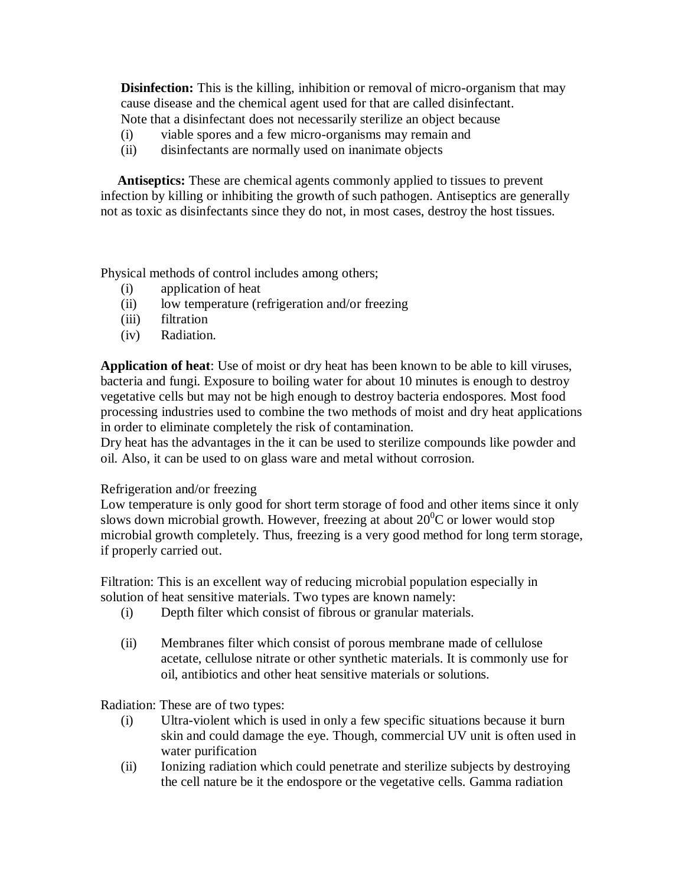**Disinfection:** This is the killing, inhibition or removal of micro-organism that may cause disease and the chemical agent used for that are called disinfectant. Note that a disinfectant does not necessarily sterilize an object because

- (i) viable spores and a few micro-organisms may remain and
- (ii) disinfectants are normally used on inanimate objects

 **Antiseptics:** These are chemical agents commonly applied to tissues to prevent infection by killing or inhibiting the growth of such pathogen. Antiseptics are generally not as toxic as disinfectants since they do not, in most cases, destroy the host tissues.

Physical methods of control includes among others;

- (i) application of heat
- (ii) low temperature (refrigeration and/or freezing
- (iii) filtration
- (iv) Radiation.

**Application of heat**: Use of moist or dry heat has been known to be able to kill viruses, bacteria and fungi. Exposure to boiling water for about 10 minutes is enough to destroy vegetative cells but may not be high enough to destroy bacteria endospores. Most food processing industries used to combine the two methods of moist and dry heat applications in order to eliminate completely the risk of contamination.

Dry heat has the advantages in the it can be used to sterilize compounds like powder and oil. Also, it can be used to on glass ware and metal without corrosion.

## Refrigeration and/or freezing

Low temperature is only good for short term storage of food and other items since it only slows down microbial growth. However, freezing at about  $20^{\circ}$ C or lower would stop microbial growth completely. Thus, freezing is a very good method for long term storage, if properly carried out.

Filtration: This is an excellent way of reducing microbial population especially in solution of heat sensitive materials. Two types are known namely:

- (i) Depth filter which consist of fibrous or granular materials.
- (ii) Membranes filter which consist of porous membrane made of cellulose acetate, cellulose nitrate or other synthetic materials. It is commonly use for oil, antibiotics and other heat sensitive materials or solutions.

Radiation: These are of two types:

- (i) Ultra-violent which is used in only a few specific situations because it burn skin and could damage the eye. Though, commercial UV unit is often used in water purification
- (ii) Ionizing radiation which could penetrate and sterilize subjects by destroying the cell nature be it the endospore or the vegetative cells. Gamma radiation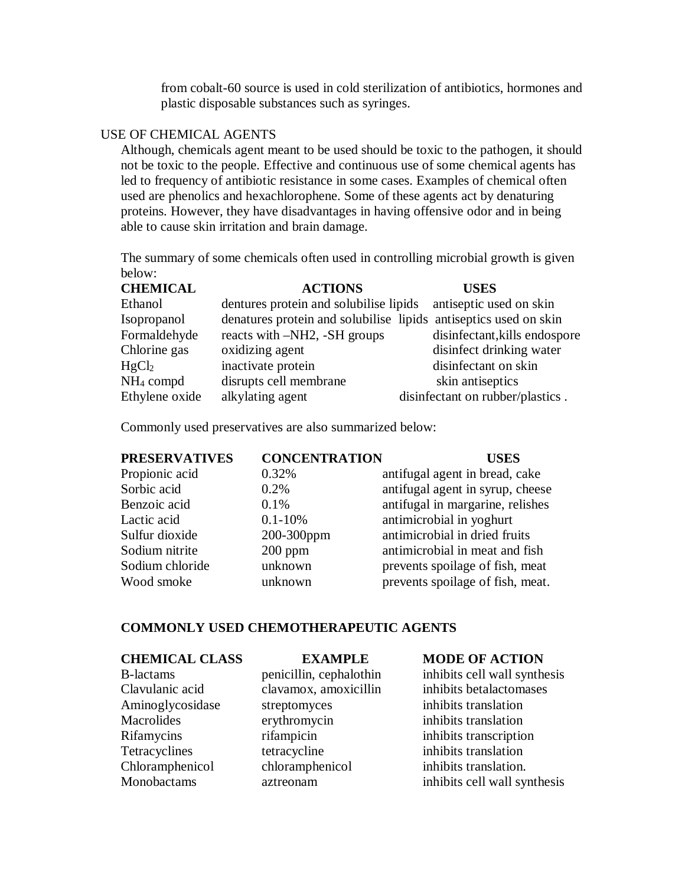from cobalt-60 source is used in cold sterilization of antibiotics, hormones and plastic disposable substances such as syringes.

#### USE OF CHEMICAL AGENTS

Although, chemicals agent meant to be used should be toxic to the pathogen, it should not be toxic to the people. Effective and continuous use of some chemical agents has led to frequency of antibiotic resistance in some cases. Examples of chemical often used are phenolics and hexachlorophene. Some of these agents act by denaturing proteins. However, they have disadvantages in having offensive odor and in being able to cause skin irritation and brain damage.

The summary of some chemicals often used in controlling microbial growth is given below:

| <b>CHEMICAL</b>   | <b>ACTIONS</b>                                                   | <b>USES</b>                      |
|-------------------|------------------------------------------------------------------|----------------------------------|
| Ethanol           | dentures protein and solubilise lipids                           | antiseptic used on skin          |
| Isopropanol       | denatures protein and solubilise lipids antiseptics used on skin |                                  |
| Formaldehyde      | reacts with -NH2, -SH groups                                     | disinfectant, kills endospore    |
| Chlorine gas      | oxidizing agent                                                  | disinfect drinking water         |
| HgCl <sub>2</sub> | inactivate protein                                               | disinfectant on skin             |
| $NH4$ compd       | disrupts cell membrane                                           | skin antiseptics                 |
| Ethylene oxide    | alkylating agent                                                 | disinfectant on rubber/plastics. |

Commonly used preservatives are also summarized below:

#### **PRESERVATIVES CONCENTRATION USES**

Propionic acid 0.32% antifugal agent in bread, cake

Sorbic acid 0.2% antifugal agent in syrup, cheese Benzoic acid 0.1% antifugal in margarine, relishes Lactic acid 0.1-10% antimicrobial in yoghurt Sulfur dioxide 200-300ppm antimicrobial in dried fruits Sodium nitrite 200 ppm antimicrobial in meat and fish Sodium chloride unknown prevents spoilage of fish, meat Wood smoke unknown prevents spoilage of fish, meat.

#### **COMMONLY USED CHEMOTHERAPEUTIC AGENTS**

#### **CHEMICAL CLASS EXAMPLE MODE OF ACTION**

Aminoglycosidase streptomyces inhibits translation Macrolides erythromycin inhibits translation Rifamycins rifampicin inhibits transcription Tetracyclines tetracycline inhibits translation Chloramphenicol chloramphenicol inhibits translation.

B-lactams penicillin, cephalothin inhibits cell wall synthesis Clavulanic acid clavamox, amoxicillin inhibits betalactomases Monobactams aztreonam inhibits cell wall synthesis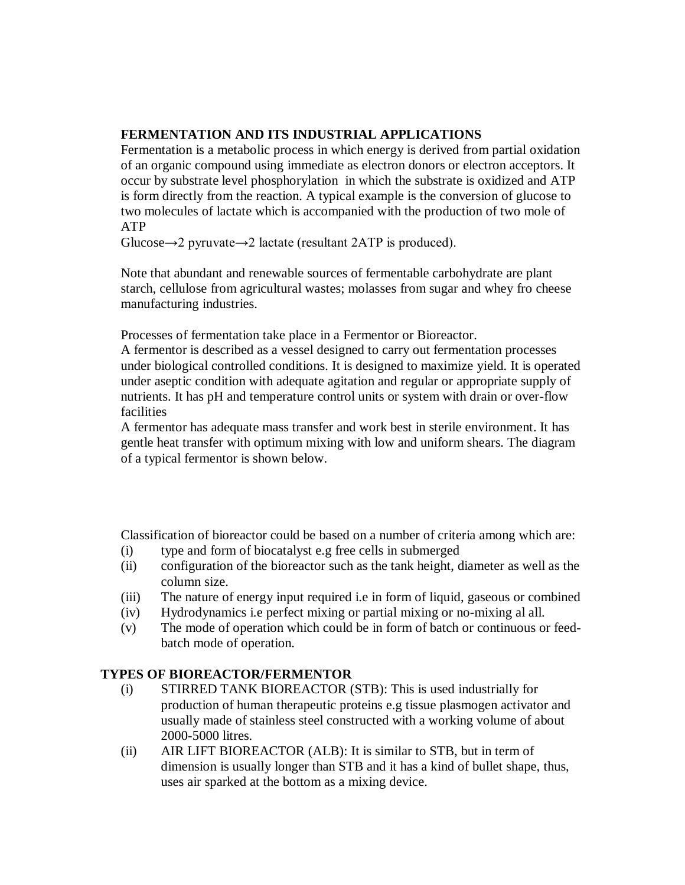## **FERMENTATION AND ITS INDUSTRIAL APPLICATIONS**

Fermentation is a metabolic process in which energy is derived from partial oxidation of an organic compound using immediate as electron donors or electron acceptors. It occur by substrate level phosphorylation in which the substrate is oxidized and ATP is form directly from the reaction. A typical example is the conversion of glucose to two molecules of lactate which is accompanied with the production of two mole of ATP

Glucose $\rightarrow$ 2 pyruvate $\rightarrow$ 2 lactate (resultant 2ATP is produced).

Note that abundant and renewable sources of fermentable carbohydrate are plant starch, cellulose from agricultural wastes; molasses from sugar and whey fro cheese manufacturing industries.

Processes of fermentation take place in a Fermentor or Bioreactor.

A fermentor is described as a vessel designed to carry out fermentation processes under biological controlled conditions. It is designed to maximize yield. It is operated under aseptic condition with adequate agitation and regular or appropriate supply of nutrients. It has pH and temperature control units or system with drain or over-flow facilities

A fermentor has adequate mass transfer and work best in sterile environment. It has gentle heat transfer with optimum mixing with low and uniform shears. The diagram of a typical fermentor is shown below.

Classification of bioreactor could be based on a number of criteria among which are:

- (i) type and form of biocatalyst e.g free cells in submerged
- (ii) configuration of the bioreactor such as the tank height, diameter as well as the column size.
- (iii) The nature of energy input required i.e in form of liquid, gaseous or combined
- (iv) Hydrodynamics i.e perfect mixing or partial mixing or no-mixing al all.
- (v) The mode of operation which could be in form of batch or continuous or feedbatch mode of operation.

# **TYPES OF BIOREACTOR/FERMENTOR**

- (i) STIRRED TANK BIOREACTOR (STB): This is used industrially for production of human therapeutic proteins e.g tissue plasmogen activator and usually made of stainless steel constructed with a working volume of about 2000-5000 litres.
- (ii) AIR LIFT BIOREACTOR (ALB): It is similar to STB, but in term of dimension is usually longer than STB and it has a kind of bullet shape, thus, uses air sparked at the bottom as a mixing device.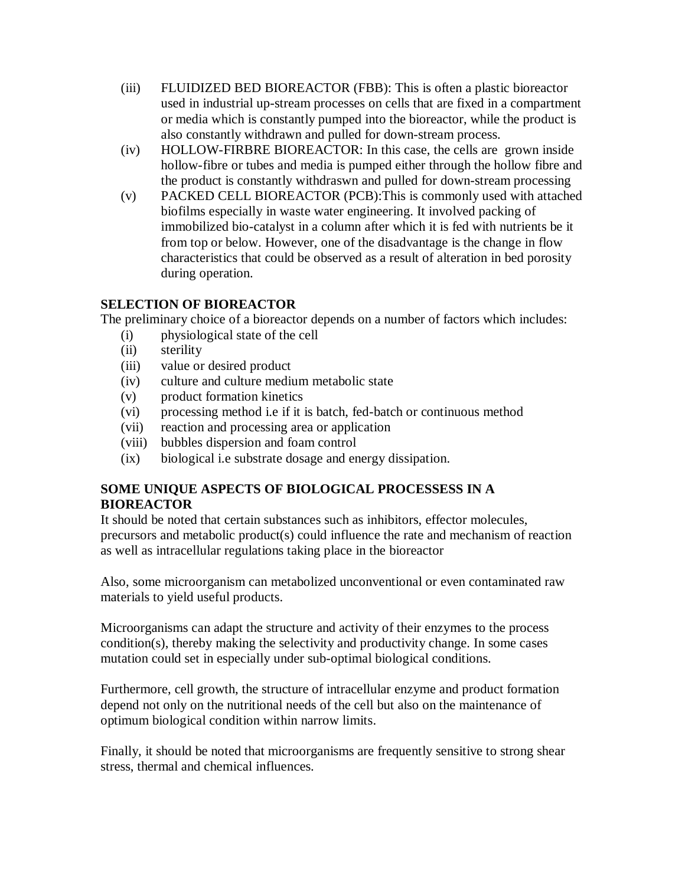- (iii) FLUIDIZED BED BIOREACTOR (FBB): This is often a plastic bioreactor used in industrial up-stream processes on cells that are fixed in a compartment or media which is constantly pumped into the bioreactor, while the product is also constantly withdrawn and pulled for down-stream process.
- (iv) HOLLOW-FIRBRE BIOREACTOR: In this case, the cells are grown inside hollow-fibre or tubes and media is pumped either through the hollow fibre and the product is constantly withdraswn and pulled for down-stream processing
- (v) PACKED CELL BIOREACTOR (PCB):This is commonly used with attached biofilms especially in waste water engineering. It involved packing of immobilized bio-catalyst in a column after which it is fed with nutrients be it from top or below. However, one of the disadvantage is the change in flow characteristics that could be observed as a result of alteration in bed porosity during operation.

# **SELECTION OF BIOREACTOR**

The preliminary choice of a bioreactor depends on a number of factors which includes:

- (i) physiological state of the cell
- (ii) sterility
- (iii) value or desired product
- (iv) culture and culture medium metabolic state
- (v) product formation kinetics
- (vi) processing method i.e if it is batch, fed-batch or continuous method
- (vii) reaction and processing area or application
- (viii) bubbles dispersion and foam control
- (ix) biological i.e substrate dosage and energy dissipation.

# **SOME UNIQUE ASPECTS OF BIOLOGICAL PROCESSESS IN A BIOREACTOR**

It should be noted that certain substances such as inhibitors, effector molecules, precursors and metabolic product(s) could influence the rate and mechanism of reaction as well as intracellular regulations taking place in the bioreactor

Also, some microorganism can metabolized unconventional or even contaminated raw materials to yield useful products.

Microorganisms can adapt the structure and activity of their enzymes to the process condition(s), thereby making the selectivity and productivity change. In some cases mutation could set in especially under sub-optimal biological conditions.

Furthermore, cell growth, the structure of intracellular enzyme and product formation depend not only on the nutritional needs of the cell but also on the maintenance of optimum biological condition within narrow limits.

Finally, it should be noted that microorganisms are frequently sensitive to strong shear stress, thermal and chemical influences.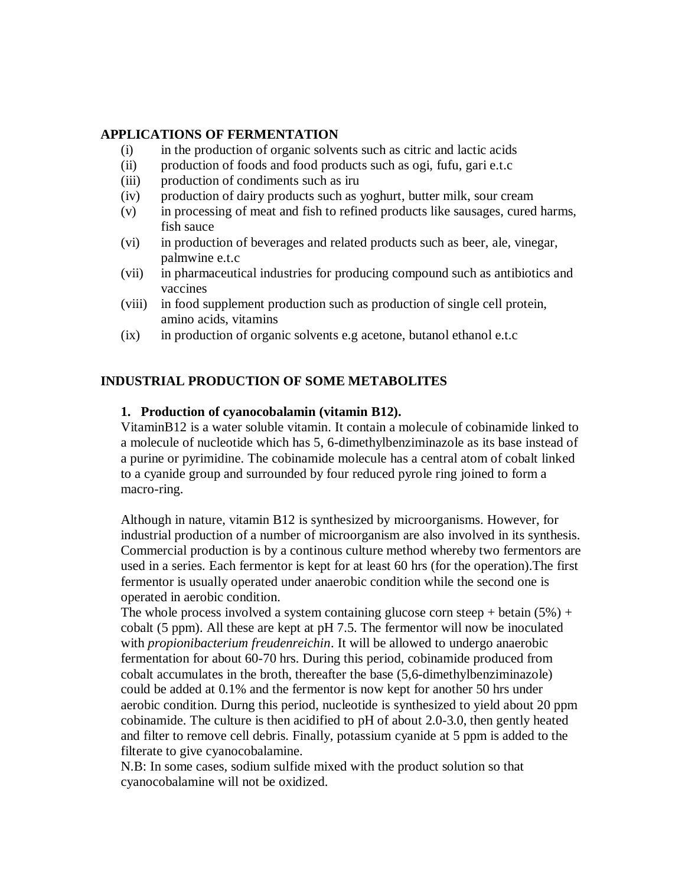#### **APPLICATIONS OF FERMENTATION**

- (i) in the production of organic solvents such as citric and lactic acids
- (ii) production of foods and food products such as ogi, fufu, gari e.t.c
- (iii) production of condiments such as iru
- (iv) production of dairy products such as yoghurt, butter milk, sour cream
- (v) in processing of meat and fish to refined products like sausages, cured harms, fish sauce
- (vi) in production of beverages and related products such as beer, ale, vinegar, palmwine e.t.c
- (vii) in pharmaceutical industries for producing compound such as antibiotics and vaccines
- (viii) in food supplement production such as production of single cell protein, amino acids, vitamins
- (ix) in production of organic solvents e.g acetone, butanol ethanol e.t.c

## **INDUSTRIAL PRODUCTION OF SOME METABOLITES**

#### **1. Production of cyanocobalamin (vitamin B12).**

VitaminB12 is a water soluble vitamin. It contain a molecule of cobinamide linked to a molecule of nucleotide which has 5, 6-dimethylbenziminazole as its base instead of a purine or pyrimidine. The cobinamide molecule has a central atom of cobalt linked to a cyanide group and surrounded by four reduced pyrole ring joined to form a macro-ring.

Although in nature, vitamin B12 is synthesized by microorganisms. However, for industrial production of a number of microorganism are also involved in its synthesis. Commercial production is by a continous culture method whereby two fermentors are used in a series. Each fermentor is kept for at least 60 hrs (for the operation).The first fermentor is usually operated under anaerobic condition while the second one is operated in aerobic condition.

The whole process involved a system containing glucose corn steep + betain  $(5%) +$ cobalt (5 ppm). All these are kept at pH 7.5. The fermentor will now be inoculated with *propionibacterium freudenreichin*. It will be allowed to undergo anaerobic fermentation for about 60-70 hrs. During this period, cobinamide produced from cobalt accumulates in the broth, thereafter the base (5,6-dimethylbenziminazole) could be added at 0.1% and the fermentor is now kept for another 50 hrs under aerobic condition. Durng this period, nucleotide is synthesized to yield about 20 ppm cobinamide. The culture is then acidified to pH of about 2.0-3.0, then gently heated and filter to remove cell debris. Finally, potassium cyanide at 5 ppm is added to the filterate to give cyanocobalamine.

N.B: In some cases, sodium sulfide mixed with the product solution so that cyanocobalamine will not be oxidized.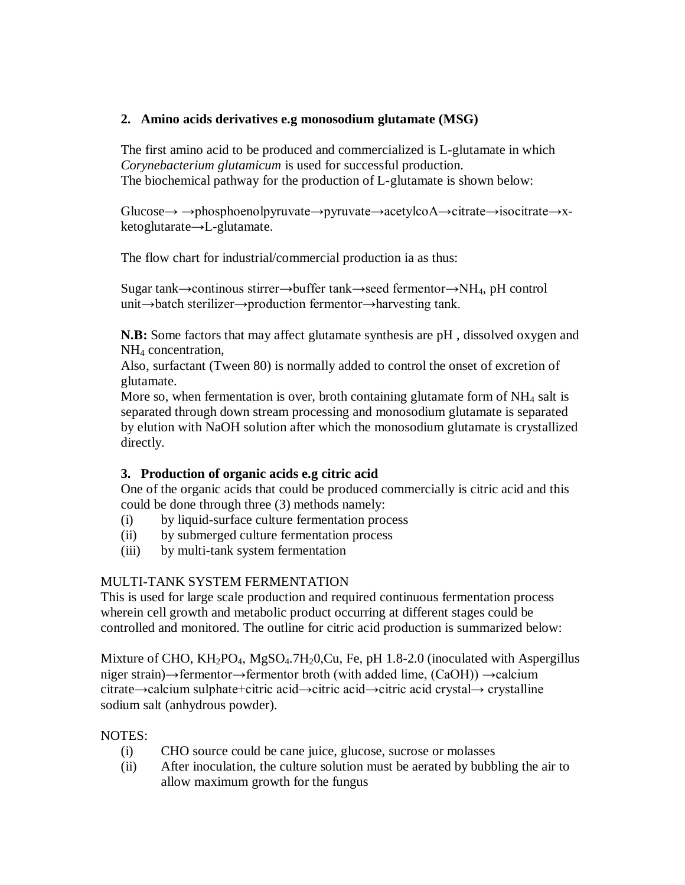# **2. Amino acids derivatives e.g monosodium glutamate (MSG)**

The first amino acid to be produced and commercialized is L-glutamate in which *Corynebacterium glutamicum* is used for successful production. The biochemical pathway for the production of L-glutamate is shown below:

Glucose→ →phosphoenolpyruvate→pyruvate→acetylcoA→citrate→isocitrate→xketoglutarate→L-glutamate.

The flow chart for industrial/commercial production ia as thus:

Sugar tank→continous stirrer→buffer tank→seed fermentor→NH4, pH control unit→batch sterilizer→production fermentor→harvesting tank.

**N.B:** Some factors that may affect glutamate synthesis are pH , dissolved oxygen and NH<sup>4</sup> concentration,

Also, surfactant (Tween 80) is normally added to control the onset of excretion of glutamate.

More so, when fermentation is over, broth containing glutamate form of  $NH_4$  salt is separated through down stream processing and monosodium glutamate is separated by elution with NaOH solution after which the monosodium glutamate is crystallized directly.

# **3. Production of organic acids e.g citric acid**

One of the organic acids that could be produced commercially is citric acid and this could be done through three (3) methods namely:

- (i) by liquid-surface culture fermentation process
- (ii) by submerged culture fermentation process
- (iii) by multi-tank system fermentation

# MULTI-TANK SYSTEM FERMENTATION

This is used for large scale production and required continuous fermentation process wherein cell growth and metabolic product occurring at different stages could be controlled and monitored. The outline for citric acid production is summarized below:

Mixture of CHO,  $KH_2PO_4$ , MgSO<sub>4</sub>.7H<sub>2</sub>0,Cu, Fe, pH 1.8-2.0 (inoculated with Aspergillus niger strain)→fermentor→fermentor broth (with added lime, (CaOH)) →calcium citrate→calcium sulphate+citric acid→citric acid→citric acid crystal→ crystalline sodium salt (anhydrous powder).

# NOTES:

- (i) CHO source could be cane juice, glucose, sucrose or molasses
- (ii) After inoculation, the culture solution must be aerated by bubbling the air to allow maximum growth for the fungus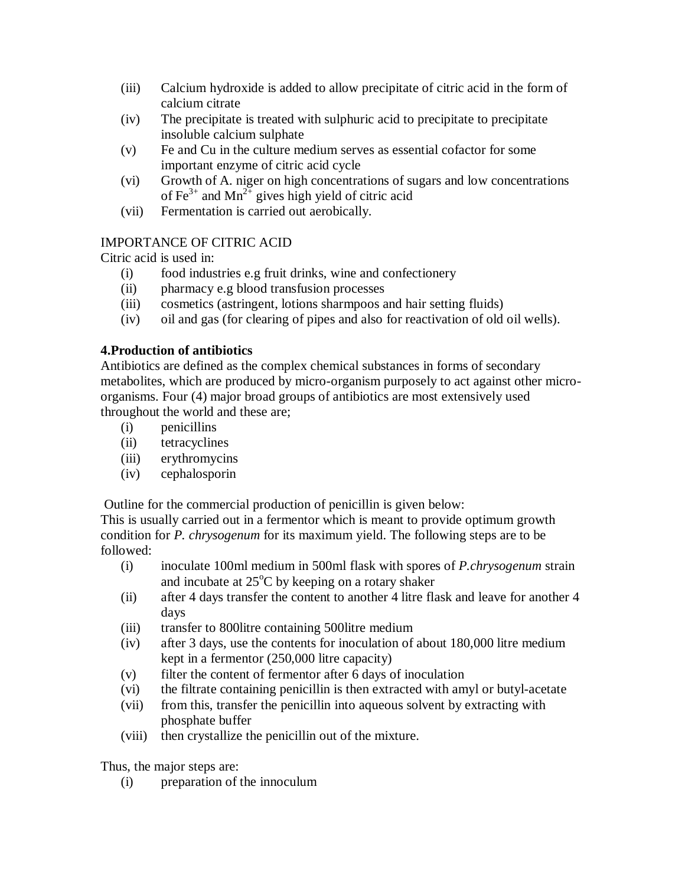- (iii) Calcium hydroxide is added to allow precipitate of citric acid in the form of calcium citrate
- (iv) The precipitate is treated with sulphuric acid to precipitate to precipitate insoluble calcium sulphate
- (v) Fe and Cu in the culture medium serves as essential cofactor for some important enzyme of citric acid cycle
- (vi) Growth of A. niger on high concentrations of sugars and low concentrations of Fe<sup>3+</sup> and Mn<sup>2+</sup> gives high yield of citric acid
- (vii) Fermentation is carried out aerobically.

# IMPORTANCE OF CITRIC ACID

Citric acid is used in:

- (i) food industries e.g fruit drinks, wine and confectionery
- (ii) pharmacy e.g blood transfusion processes
- (iii) cosmetics (astringent, lotions sharmpoos and hair setting fluids)
- (iv) oil and gas (for clearing of pipes and also for reactivation of old oil wells).

# **4.Production of antibiotics**

Antibiotics are defined as the complex chemical substances in forms of secondary metabolites, which are produced by micro-organism purposely to act against other microorganisms. Four (4) major broad groups of antibiotics are most extensively used throughout the world and these are;

- (i) penicillins
- (ii) tetracyclines
- (iii) erythromycins
- (iv) cephalosporin

Outline for the commercial production of penicillin is given below:

This is usually carried out in a fermentor which is meant to provide optimum growth condition for *P. chrysogenum* for its maximum yield. The following steps are to be followed:

- (i) inoculate 100ml medium in 500ml flask with spores of *P.chrysogenum* strain and incubate at  $25^{\circ}$ C by keeping on a rotary shaker
- (ii) after 4 days transfer the content to another 4 litre flask and leave for another 4 days
- (iii) transfer to 800litre containing 500litre medium
- (iv) after 3 days, use the contents for inoculation of about 180,000 litre medium kept in a fermentor (250,000 litre capacity)
- (v) filter the content of fermentor after 6 days of inoculation
- (vi) the filtrate containing penicillin is then extracted with amyl or butyl-acetate
- (vii) from this, transfer the penicillin into aqueous solvent by extracting with phosphate buffer
- (viii) then crystallize the penicillin out of the mixture.

Thus, the major steps are:

(i) preparation of the innoculum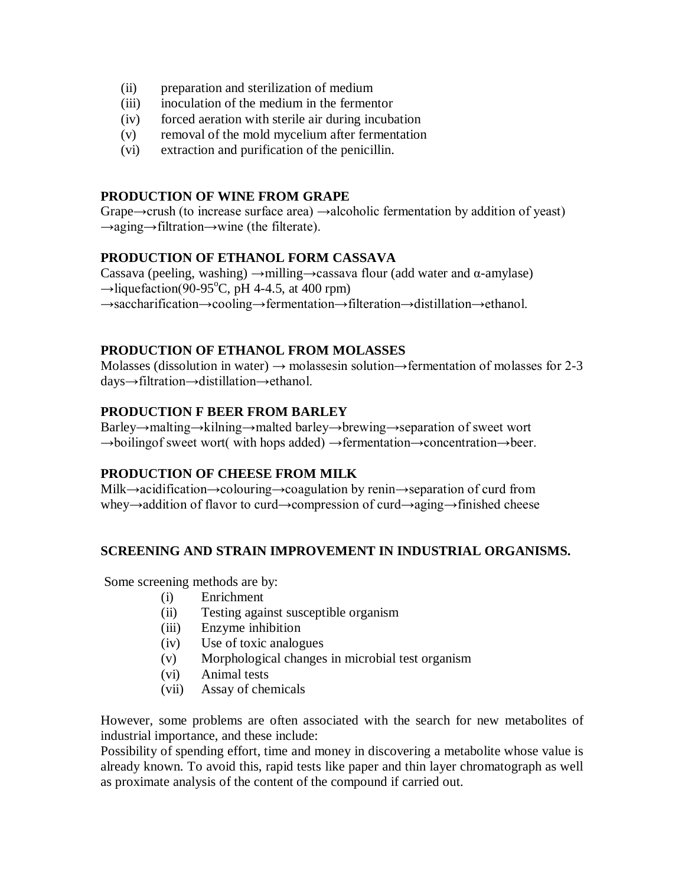- (ii) preparation and sterilization of medium
- (iii) inoculation of the medium in the fermentor
- (iv) forced aeration with sterile air during incubation
- (v) removal of the mold mycelium after fermentation
- (vi) extraction and purification of the penicillin.

#### **PRODUCTION OF WINE FROM GRAPE**

Grape $\rightarrow$ crush (to increase surface area)  $\rightarrow$ alcoholic fermentation by addition of yeast) →aging→filtration→wine (the filterate).

## **PRODUCTION OF ETHANOL FORM CASSAVA**

Cassava (peeling, washing)  $\rightarrow$ milling $\rightarrow$ cassava flour (add water and α-amylase)  $\rightarrow$ liquefaction(90-95<sup>o</sup>C, pH 4-4.5, at 400 rpm)

→saccharification→cooling→fermentation→filteration→distillation→ethanol.

## **PRODUCTION OF ETHANOL FROM MOLASSES**

Molasses (dissolution in water)  $\rightarrow$  molassesin solution $\rightarrow$  fermentation of molasses for 2-3 days→filtration→distillation→ethanol.

## **PRODUCTION F BEER FROM BARLEY**

Barley→malting→kilning→malted barley→brewing→separation of sweet wort →boilingof sweet wort( with hops added) →fermentation→concentration→beer.

## **PRODUCTION OF CHEESE FROM MILK**

Milk→acidification→colouring→coagulation by renin→separation of curd from whey→addition of flavor to curd→compression of curd→aging→finished cheese

## **SCREENING AND STRAIN IMPROVEMENT IN INDUSTRIAL ORGANISMS.**

Some screening methods are by:

- (i) Enrichment
- (ii) Testing against susceptible organism
- (iii) Enzyme inhibition
- (iv) Use of toxic analogues
- (v) Morphological changes in microbial test organism
- (vi) Animal tests
- (vii) Assay of chemicals

However, some problems are often associated with the search for new metabolites of industrial importance, and these include:

Possibility of spending effort, time and money in discovering a metabolite whose value is already known. To avoid this, rapid tests like paper and thin layer chromatograph as well as proximate analysis of the content of the compound if carried out.